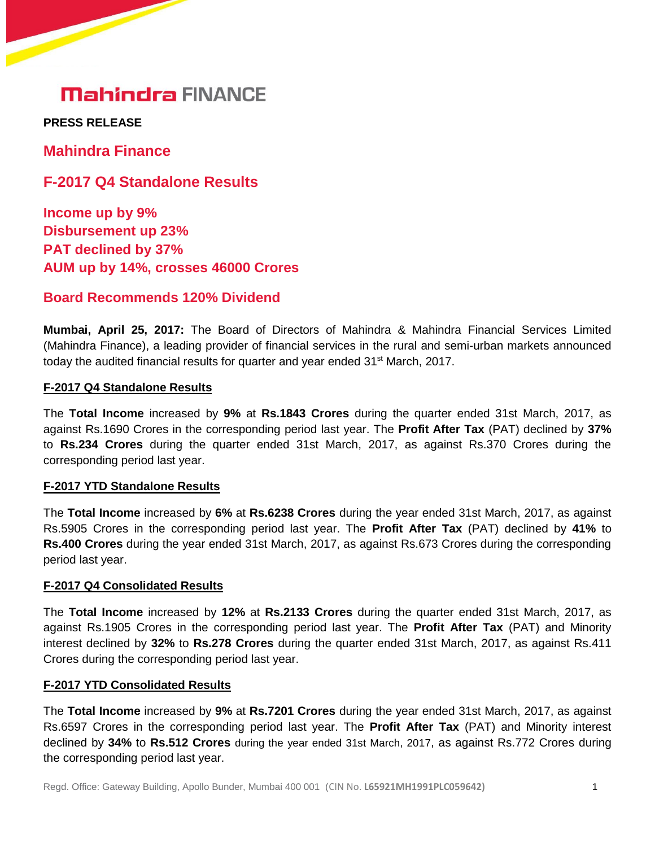**PRESS RELEASE** 

**Mahindra Finance**

**F-2017 Q4 Standalone Results**

**Income up by 9% Disbursement up 23% PAT declined by 37% AUM up by 14%, crosses 46000 Crores**

## **Board Recommends 120% Dividend**

**Mumbai, April 25, 2017:** The Board of Directors of Mahindra & Mahindra Financial Services Limited (Mahindra Finance), a leading provider of financial services in the rural and semi-urban markets announced today the audited financial results for quarter and year ended 31<sup>st</sup> March, 2017.

### **F-2017 Q4 Standalone Results**

The **Total Income** increased by **9%** at **Rs.1843 Crores** during the quarter ended 31st March, 2017, as against Rs.1690 Crores in the corresponding period last year. The **Profit After Tax** (PAT) declined by **37%** to **Rs.234 Crores** during the quarter ended 31st March, 2017, as against Rs.370 Crores during the corresponding period last year.

### **F-2017 YTD Standalone Results**

The **Total Income** increased by **6%** at **Rs.6238 Crores** during the year ended 31st March, 2017, as against Rs.5905 Crores in the corresponding period last year. The **Profit After Tax** (PAT) declined by **41%** to **Rs.400 Crores** during the year ended 31st March, 2017, as against Rs.673 Crores during the corresponding period last year.

### **F-2017 Q4 Consolidated Results**

The **Total Income** increased by **12%** at **Rs.2133 Crores** during the quarter ended 31st March, 2017, as against Rs.1905 Crores in the corresponding period last year. The **Profit After Tax** (PAT) and Minority interest declined by **32%** to **Rs.278 Crores** during the quarter ended 31st March, 2017, as against Rs.411 Crores during the corresponding period last year.

### **F-2017 YTD Consolidated Results**

The **Total Income** increased by **9%** at **Rs.7201 Crores** during the year ended 31st March, 2017, as against Rs.6597 Crores in the corresponding period last year. The **Profit After Tax** (PAT) and Minority interest declined by **34%** to **Rs.512 Crores** during the year ended 31st March, 2017, as against Rs.772 Crores during the corresponding period last year.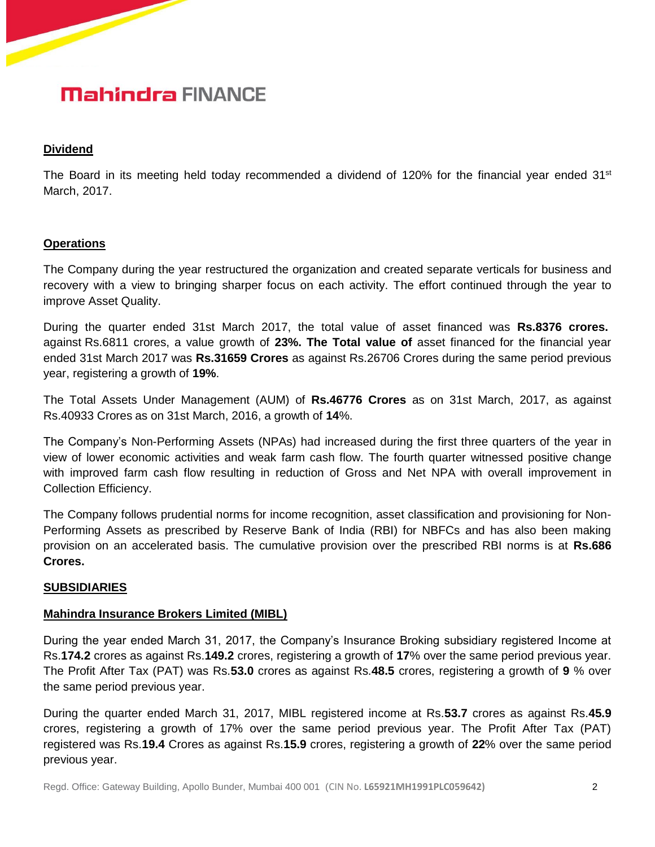#### **Dividend**

The Board in its meeting held today recommended a dividend of 120% for the financial year ended  $31<sup>st</sup>$ March, 2017.

#### **Operations**

The Company during the year restructured the organization and created separate verticals for business and recovery with a view to bringing sharper focus on each activity. The effort continued through the year to improve Asset Quality.

During the quarter ended 31st March 2017, the total value of asset financed was **Rs.8376 crores.** against Rs.6811 crores, a value growth of **23%. The Total value of** asset financed for the financial year ended 31st March 2017 was **Rs.31659 Crores** as against Rs.26706 Crores during the same period previous year, registering a growth of **19%**.

The Total Assets Under Management (AUM) of **Rs.46776 Crores** as on 31st March, 2017, as against Rs.40933 Crores as on 31st March, 2016, a growth of **14**%.

The Company's Non-Performing Assets (NPAs) had increased during the first three quarters of the year in view of lower economic activities and weak farm cash flow. The fourth quarter witnessed positive change with improved farm cash flow resulting in reduction of Gross and Net NPA with overall improvement in Collection Efficiency.

The Company follows prudential norms for income recognition, asset classification and provisioning for Non-Performing Assets as prescribed by Reserve Bank of India (RBI) for NBFCs and has also been making provision on an accelerated basis. The cumulative provision over the prescribed RBI norms is at **Rs.686 Crores.**

### **SUBSIDIARIES**

#### **Mahindra Insurance Brokers Limited (MIBL)**

During the year ended March 31, 2017, the Company's Insurance Broking subsidiary registered Income at Rs.**174.2** crores as against Rs.**149.2** crores, registering a growth of **17**% over the same period previous year. The Profit After Tax (PAT) was Rs.**53.0** crores as against Rs.**48.5** crores, registering a growth of **9** % over the same period previous year.

During the quarter ended March 31, 2017, MIBL registered income at Rs.**53.7** crores as against Rs.**45.9** crores, registering a growth of 17% over the same period previous year. The Profit After Tax (PAT) registered was Rs.**19.4** Crores as against Rs.**15.9** crores, registering a growth of **22**% over the same period previous year.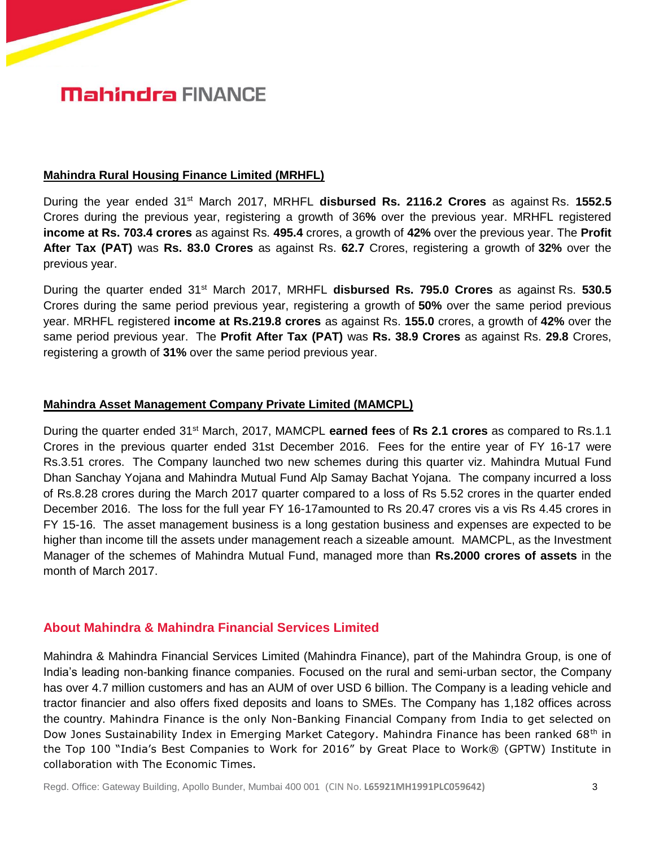#### **Mahindra Rural Housing Finance Limited (MRHFL)**

During the year ended 31st March 2017, MRHFL **disbursed Rs. 2116.2 Crores** as against Rs. **1552.5** Crores during the previous year, registering a growth of 36**%** over the previous year. MRHFL registered **income at Rs. 703.4 crores** as against Rs. **495.4** crores, a growth of **42%** over the previous year. The **Profit After Tax (PAT)** was **Rs. 83.0 Crores** as against Rs. **62.7** Crores, registering a growth of **32%** over the previous year.

During the quarter ended 31st March 2017, MRHFL **disbursed Rs. 795.0 Crores** as against Rs. **530.5** Crores during the same period previous year, registering a growth of **50%** over the same period previous year. MRHFL registered **income at Rs.219.8 crores** as against Rs. **155.0** crores, a growth of **42%** over the same period previous year. The **Profit After Tax (PAT)** was **Rs. 38.9 Crores** as against Rs. **29.8** Crores, registering a growth of **31%** over the same period previous year.

#### **Mahindra Asset Management Company Private Limited (MAMCPL)**

During the quarter ended 31st March, 2017, MAMCPL **earned fees** of **Rs 2.1 crores** as compared to Rs.1.1 Crores in the previous quarter ended 31st December 2016. Fees for the entire year of FY 16-17 were Rs.3.51 crores. The Company launched two new schemes during this quarter viz. Mahindra Mutual Fund Dhan Sanchay Yojana and Mahindra Mutual Fund Alp Samay Bachat Yojana. The company incurred a loss of Rs.8.28 crores during the March 2017 quarter compared to a loss of Rs 5.52 crores in the quarter ended December 2016. The loss for the full year FY 16-17amounted to Rs 20.47 crores vis a vis Rs 4.45 crores in FY 15-16. The asset management business is a long gestation business and expenses are expected to be higher than income till the assets under management reach a sizeable amount. MAMCPL, as the Investment Manager of the schemes of Mahindra Mutual Fund, managed more than **Rs.2000 crores of assets** in the month of March 2017.

### **About Mahindra & Mahindra Financial Services Limited**

Mahindra & Mahindra Financial Services Limited (Mahindra Finance), part of the Mahindra Group, is one of India's leading non-banking finance companies. Focused on the rural and semi-urban sector, the Company has over 4.7 million customers and has an AUM of over USD 6 billion. The Company is a leading vehicle and tractor financier and also offers fixed deposits and loans to SMEs. The Company has 1,182 offices across the country. Mahindra Finance is the only Non-Banking Financial Company from India to get selected on Dow Jones Sustainability Index in Emerging Market Category. Mahindra Finance has been ranked 68<sup>th</sup> in the Top 100 "India's Best Companies to Work for 2016" by Great Place to Work® (GPTW) Institute in collaboration with The Economic Times.